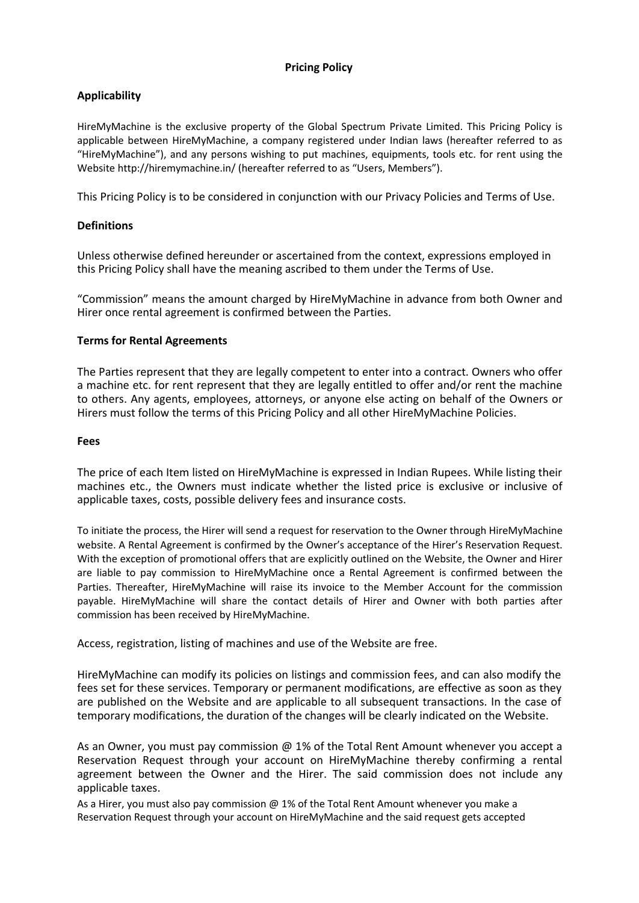# **Pricing Policy**

# **Applicability**

HireMyMachine is the exclusive property of the Global Spectrum Private Limited. This Pricing Policy is applicable between HireMyMachine, a company registered under Indian laws (hereafter referred to as "HireMyMachine"), and any persons wishing to put machines, equipments, tools etc. for rent using the Website http://hiremymachine.in/ (hereafter referred to as "Users, Members").

This Pricing Policy is to be considered in conjunction with our Privacy Policies and Terms of Use.

## **Definitions**

Unless otherwise defined hereunder or ascertained from the context, expressions employed in this Pricing Policy shall have the meaning ascribed to them under the Terms of Use.

"Commission" means the amount charged by HireMyMachine in advance from both Owner and Hirer once rental agreement is confirmed between the Parties.

### **Terms for Rental Agreements**

The Parties represent that they are legally competent to enter into a contract. Owners who offer a machine etc. for rent represent that they are legally entitled to offer and/or rent the machine to others. Any agents, employees, attorneys, or anyone else acting on behalf of the Owners or Hirers must follow the terms of this Pricing Policy and all other HireMyMachine Policies.

### **Fees**

The price of each Item listed on HireMyMachine is expressed in Indian Rupees. While listing their machines etc., the Owners must indicate whether the listed price is exclusive or inclusive of applicable taxes, costs, possible delivery fees and insurance costs.

To initiate the process, the Hirer will send a request for reservation to the Owner through HireMyMachine website. A Rental Agreement is confirmed by the Owner's acceptance of the Hirer's Reservation Request. With the exception of promotional offers that are explicitly outlined on the Website, the Owner and Hirer are liable to pay commission to HireMyMachine once a Rental Agreement is confirmed between the Parties. Thereafter, HireMyMachine will raise its invoice to the Member Account for the commission payable. HireMyMachine will share the contact details of Hirer and Owner with both parties after commission has been received by HireMyMachine.

Access, registration, listing of machines and use of the Website are free.

HireMyMachine can modify its policies on listings and commission fees, and can also modify the fees set for these services. Temporary or permanent modifications, are effective as soon as they are published on the Website and are applicable to all subsequent transactions. In the case of temporary modifications, the duration of the changes will be clearly indicated on the Website.

As an Owner, you must pay commission  $\omega$  1% of the Total Rent Amount whenever you accept a Reservation Request through your account on HireMyMachine thereby confirming a rental agreement between the Owner and the Hirer. The said commission does not include any applicable taxes.

As a Hirer, you must also pay commission @ 1% of the Total Rent Amount whenever you make a Reservation Request through your account on HireMyMachine and the said request gets accepted